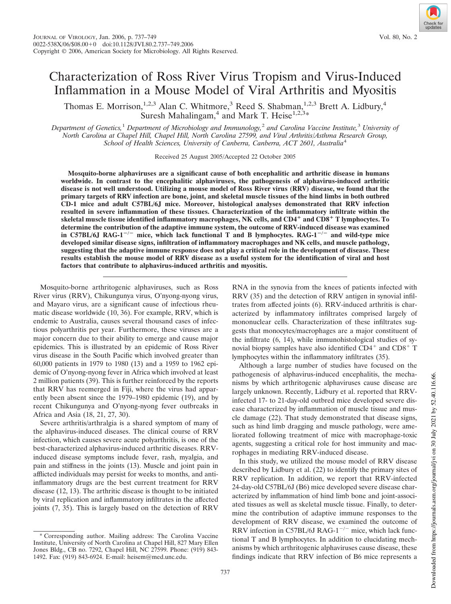# Characterization of Ross River Virus Tropism and Virus-Induced Inflammation in a Mouse Model of Viral Arthritis and Myositis

Thomas E. Morrison,<sup>1,2,3</sup> Alan C. Whitmore,<sup>3</sup> Reed S. Shabman,<sup>1,2,3</sup> Brett A. Lidbury,<sup>4</sup> Suresh Mahalingam,<sup>4</sup> and Mark T. Heise<sup>1,2,3\*</sup>

*Department of Genetics,*<sup>1</sup> *Department of Microbiology and Immunology,*<sup>2</sup> *and Carolina Vaccine Institute,*<sup>3</sup> *University of North Carolina at Chapel Hill, Chapel Hill, North Carolina 27599, and Viral Arthritis/Asthma Research Group, School of Health Sciences, University of Canberra, Canberra, ACT 2601, Australia*<sup>4</sup>

Received 25 August 2005/Accepted 22 October 2005

**Mosquito-borne alphaviruses are a significant cause of both encephalitic and arthritic disease in humans worldwide. In contrast to the encephalitic alphaviruses, the pathogenesis of alphavirus-induced arthritic disease is not well understood. Utilizing a mouse model of Ross River virus (RRV) disease, we found that the primary targets of RRV infection are bone, joint, and skeletal muscle tissues of the hind limbs in both outbred CD-1 mice and adult C57BL/6J mice. Moreover, histological analyses demonstrated that RRV infection resulted in severe inflammation of these tissues. Characterization of the inflammatory infiltrate within the skeletal muscle tissue identified inflammatory macrophages, NK cells, and CD4 and CD8 T lymphocytes. To determine the contribution of the adaptive immune system, the outcome of RRV-induced disease was examined** in C57BL/6J RAG-1<sup>-/-</sup> mice, which lack functional T and B lymphocytes. RAG-1<sup>-/-</sup> and wild-type mice **developed similar disease signs, infiltration of inflammatory macrophages and NK cells, and muscle pathology, suggesting that the adaptive immune response does not play a critical role in the development of disease. These results establish the mouse model of RRV disease as a useful system for the identification of viral and host factors that contribute to alphavirus-induced arthritis and myositis.**

Mosquito-borne arthritogenic alphaviruses, such as Ross River virus (RRV), Chikungunya virus, O'nyong-nyong virus, and Mayaro virus, are a significant cause of infectious rheumatic disease worldwide (10, 36). For example, RRV, which is endemic to Australia, causes several thousand cases of infectious polyarthritis per year. Furthermore, these viruses are a major concern due to their ability to emerge and cause major epidemics. This is illustrated by an epidemic of Ross River virus disease in the South Pacific which involved greater than 60,000 patients in 1979 to 1980 (13) and a 1959 to 1962 epidemic of O'nyong-nyong fever in Africa which involved at least 2 million patients (39). This is further reinforced by the reports that RRV has reemerged in Fiji, where the virus had apparently been absent since the 1979–1980 epidemic (19), and by recent Chikungunya and O'nyong-nyong fever outbreaks in Africa and Asia (18, 21, 27, 30).

Severe arthritis/arthralgia is a shared symptom of many of the alphavirus-induced diseases. The clinical course of RRV infection, which causes severe acute polyarthritis, is one of the best-characterized alphavirus-induced arthritic diseases. RRVinduced disease symptoms include fever, rash, myalgia, and pain and stiffness in the joints (13). Muscle and joint pain in afflicted individuals may persist for weeks to months, and antiinflammatory drugs are the best current treatment for RRV disease (12, 13). The arthritic disease is thought to be initiated by viral replication and inflammatory infiltrates in the affected joints (7, 35). This is largely based on the detection of RRV

RNA in the synovia from the knees of patients infected with RRV (35) and the detection of RRV antigen in synovial infiltrates from affected joints (6). RRV-induced arthritis is characterized by inflammatory infiltrates comprised largely of mononuclear cells. Characterization of these infiltrates suggests that monocytes/macrophages are a major constituent of the infiltrate (6, 14), while immunohistological studies of synovial biopsy samples have also identified  $CD4^+$  and  $CD8^+$  T lymphocytes within the inflammatory infiltrates (35).

Although a large number of studies have focused on the pathogenesis of alphavirus-induced encephalitis, the mechanisms by which arthritogenic alphaviruses cause disease are largely unknown. Recently, Lidbury et al. reported that RRVinfected 17- to 21-day-old outbred mice developed severe disease characterized by inflammation of muscle tissue and muscle damage (22). That study demonstrated that disease signs, such as hind limb dragging and muscle pathology, were ameliorated following treatment of mice with macrophage-toxic agents, suggesting a critical role for host immunity and macrophages in mediating RRV-induced disease.

In this study, we utilized the mouse model of RRV disease described by Lidbury et al. (22) to identify the primary sites of RRV replication. In addition, we report that RRV-infected 24-day-old C57BL/6J (B6) mice developed severe disease characterized by inflammation of hind limb bone and joint-associated tissues as well as skeletal muscle tissue. Finally, to determine the contribution of adaptive immune responses to the development of RRV disease, we examined the outcome of RRV infection in C57BL/6J RAG-1 $^{-/-}$  mice, which lack functional T and B lymphocytes. In addition to elucidating mechanisms by which arthritogenic alphaviruses cause disease, these findings indicate that RRV infection of B6 mice represents a

737

<sup>\*</sup> Corresponding author. Mailing address: The Carolina Vaccine Institute, University of North Carolina at Chapel Hill, 827 Mary Ellen Jones Bldg., CB no. 7292, Chapel Hill, NC 27599. Phone: (919) 843- 1492. Fax: (919) 843-6924. E-mail: heisem@med.unc.edu.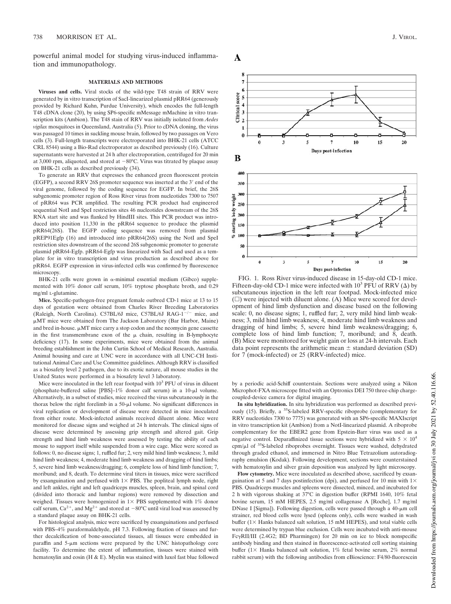powerful animal model for studying virus-induced inflammation and immunopathology.

#### **MATERIALS AND METHODS**

**Viruses and cells.** Viral stocks of the wild-type T48 strain of RRV were generated by in vitro transcription of SacI-linearized plasmid pRR64 (generously provided by Richard Kuhn, Purdue University), which encodes the full-length T48 cDNA clone (20), by using SP6-specific mMessage mMachine in vitro transcription kits (Ambion). The T48 stain of RRV was initially isolated from *Aedes vigilax* mosquitoes in Queensland, Australia (5). Prior to cDNA cloning, the virus was passaged 10 times in suckling mouse brain, followed by two passages on Vero cells (3). Full-length transcripts were electroporated into BHK-21 cells (ATCC CRL 8544) using a Bio-Rad electroporator as described previously (16). Culture supernatants were harvested at 24 h after electroporation, centrifuged for 20 min at 3,000 rpm, aliquoted, and stored at -80°C. Virus was titrated by plaque assay on BHK-21 cells as described previously (34).

To generate an RRV that expresses the enhanced green fluorescent protein (EGFP), a second RRV 26S promoter sequence was inserted at the 3' end of the viral genome, followed by the coding sequence for EGFP. In brief, the 26S subgenomic promoter region of Ross River virus from nucleotides 7300 to 7507 of pRR64 was PCR amplified. The resulting PCR product had engineered sequential NotI and SpeI restriction sites 46 nucleotides downstream of the 26S RNA start site and was flanked by HindIII sites. This PCR product was introduced into position 11,330 in the pRR64 sequence to produce the plasmid pRR64(26S). The EGFP coding sequence was removed from plasmid pREP91Egfp (16) and introduced into pRR64(26S) using the NotI and SpeI restriction sites downstream of the second 26S subgenomic promoter to generate plasmid pRR64-Egfp. pRR64-Egfp was linearized with SacI and used as a template for in vitro transcription and virus production as described above for pRR64. EGFP expression in virus-infected cells was confirmed by fluorescence microscopy.

BHK-21 cells were grown in  $\alpha$ -minimal essential medium (Gibco) supplemented with 10% donor calf serum, 10% tryptose phosphate broth, and 0.29 mg/ml L-glutamine.

**Mice.** Specific-pathogen-free pregnant female outbred CD-1 mice at 13 to 15 days of gestation were obtained from Charles River Breeding Laboratories (Raleigh, North Carolina). C57BL/6J mice, C57BL/6J RAG-1<sup>-/-</sup> mice, and MT mice were obtained from The Jackson Laboratory (Bar Harbor, Maine) and bred in-house.  $\mu$ MT mice carry a stop codon and the neomycin gene cassette in the first transmembrane exon of the  $\mu$  chain, resulting in B-lymphocyte deficiency (17). In some experiments, mice were obtained from the animal breeding establishment in the John Curtin School of Medical Research, Australia. Animal housing and care at UNC were in accordance with all UNC-CH Institutional Animal Care and Use Committee guidelines. Although RRV is classified as a biosafety level 2 pathogen, due to its exotic nature, all mouse studies in the United States were performed in a biosafety level 3 laboratory.

Mice were inoculated in the left rear footpad with  $10<sup>3</sup>$  PFU of virus in diluent (phosphate-buffered saline [PBS]-1% donor calf serum) in a 10- $\mu$ l volume. Alternatively, in a subset of studies, mice received the virus subcutaneously in the thorax below the right forelimb in a 50-µl volume. No significant differences in viral replication or development of disease were detected in mice inoculated from either route. Mock-infected animals received diluent alone. Mice were monitored for disease signs and weighed at 24 h intervals. The clinical signs of disease were determined by assessing grip strength and altered gait. Grip strength and hind limb weakness were assessed by testing the ability of each mouse to support itself while suspended from a wire cage. Mice were scored as follows: 0, no disease signs; 1, ruffled fur; 2, very mild hind limb weakness; 3, mild hind limb weakness; 4, moderate hind limb weakness and dragging of hind limbs; 5, severe hind limb weakness/dragging; 6, complete loss of hind limb function; 7, moribund; and 8, death. To determine viral titers in tissues, mice were sacrificed by exsanguination and perfused with  $1 \times$  PBS. The popliteal lymph node, right and left ankles, right and left quadriceps muscles, spleen, brain, and spinal cord (divided into thoracic and lumbar regions) were removed by dissection and weighed. Tissues were homogenized in  $1 \times$  PBS supplemented with  $1\%$  donor calf serum,  $Ca^{2+}$ , and  $Mg^{2+}$  and stored at  $-80^{\circ}$ C until viral load was assessed by a standard plaque assay on BHK-21 cells.

For histological analysis, mice were sacrificed by exsanguinations and perfused with PBS–4% paraformaldehyde, pH 7.3. Following fixation of tissues and further decalcification of bone-associated tissues, all tissues were embedded in paraffin and  $5-\mu m$  sections were prepared by the UNC histopathology core facility. To determine the extent of inflammation, tissues were stained with hematoxylin and eosin (H & E). Myelin was stained with luxol fast blue followed





A

FIG. 1. Ross River virus-induced disease in 15-day-old CD-1 mice. Fifteen-day-old CD-1 mice were infected with  $10^3$  PFU of RRV ( $\Delta$ ) by subcutaneous injection in the left rear footpad. Mock-infected mice  $(\square)$  were injected with diluent alone. (A) Mice were scored for development of hind limb dysfunction and disease based on the following scale: 0, no disease signs; 1, ruffled fur; 2, very mild hind limb weakness; 3, mild hind limb weakness; 4, moderate hind limb weakness and dragging of hind limbs; 5, severe hind limb weakness/dragging; 6, complete loss of hind limb function; 7, moribund; and 8, death. (B) Mice were monitored for weight gain or loss at 24-h intervals. Each data point represents the arithmetic mean  $\pm$  standard deviation (SD) for 7 (mock-infected) or 25 (RRV-infected) mice.

by a periodic acid-Schiff counterstain. Sections were analyzed using a Nikon Microphot-FXA microscope fitted with an Optronics DEI 750 three-chip chargecoupled-device camera for digital imaging.

**In situ hybridization.** In situ hybridization was performed as described previously (15). Briefly, a <sup>35</sup>S-labeled RRV-specific riboprobe (complementary for RRV nucleotides 7300 to 7775) was generated with an SP6-specific MAXIscript in vitro transcription kit (Ambion) from a NotI-linearized plasmid. A riboprobe complementary for the EBER2 gene from Epstein-Barr virus was used as a negative control. Deparaffinized tissue sections were hybridized with  $5 \times 10^4$ cpm/ $\mu$ l of <sup>35</sup>S-labeled riboprobes overnight. Tissues were washed, dehydrated through graded ethanol, and immersed in Nitro Blue Tetrazolium autoradiography emulsion (Kodak). Following development, sections were counterstained with hematoxylin and silver grain deposition was analyzed by light microscopy.

**Flow cytometry.** Mice were inoculated as described above, sacrificed by exsanguination at 5 and 7 days postinfection (dpi), and perfused for 10 min with  $1\times$ PBS. Quadriceps muscles and spleens were dissected, minced, and incubated for 2 h with vigorous shaking at 37°C in digestion buffer (RPMI 1640, 10% fetal bovine serum, 15 mM HEPES, 2.5 mg/ml collagenase A [Roche], 1.7 mg/ml DNase I [Sigma]). Following digestion, cells were passed through a 40-µm cell strainer, red blood cells were lysed (spleens only), cells were washed in wash buffer ( $1\times$  Hanks balanced salt solution, 15 mM HEPES), and total viable cells were determined by trypan blue exclusion. Cells were incubated with anti-mouse FcRII/III (2.4G2; BD Pharmingen) for 20 min on ice to block nonspecific antibody binding and then stained in fluorescence-activated cell sorting staining buffer (1 $\times$  Hanks balanced salt solution, 1% fetal bovine serum, 2% normal rabbit serum) with the following antibodies from eBioscience: F4/80-fluorescein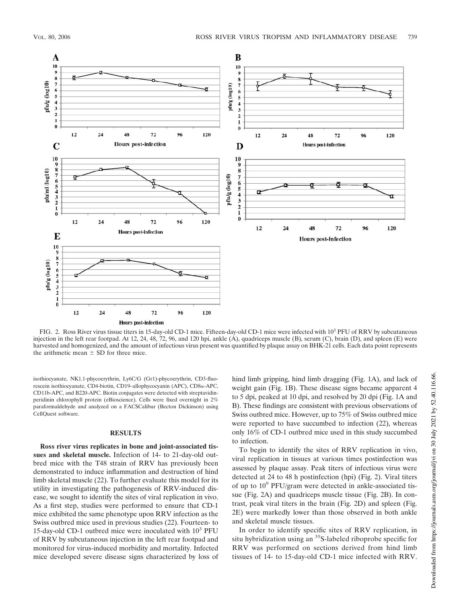

FIG. 2. Ross River virus tissue titers in 15-day-old CD-1 mice. Fifteen-day-old CD-1 mice were infected with 10<sup>3</sup> PFU of RRV by subcutaneous injection in the left rear footpad. At 12, 24, 48, 72, 96, and 120 hpi, ankle (A), quadriceps muscle (B), serum (C), brain (D), and spleen (E) were harvested and homogenized, and the amount of infectious virus present was quantified by plaque assay on BHK-21 cells. Each data point represents the arithmetic mean  $\pm$  SD for three mice.

isothiocyanate, NK1.1-phycoerythrin, Ly6C/G (Gr1)-phycoerythrin, CD3-fluorescein isothiocyanate, CD4-biotin, CD19-allophycocyanin (APC), CD8α-APC, CD11b-APC, and B220-APC. Biotin conjugates were detected with streptavidinperidinin chlorophyll protein (eBioscience). Cells were fixed overnight in 2% paraformaldehyde and analyzed on a FACSCalibur (Becton Dickinson) using CellQuest software.

## **RESULTS**

**Ross river virus replicates in bone and joint-associated tissues and skeletal muscle.** Infection of 14- to 21-day-old outbred mice with the T48 strain of RRV has previously been demonstrated to induce inflammation and destruction of hind limb skeletal muscle (22). To further evaluate this model for its utility in investigating the pathogenesis of RRV-induced disease, we sought to identify the sites of viral replication in vivo. As a first step, studies were performed to ensure that CD-1 mice exhibited the same phenotype upon RRV infection as the Swiss outbred mice used in previous studies (22). Fourteen- to 15-day-old CD-1 outbred mice were inoculated with 10<sup>3</sup> PFU of RRV by subcutaneous injection in the left rear footpad and monitored for virus-induced morbidity and mortality. Infected mice developed severe disease signs characterized by loss of hind limb gripping, hind limb dragging (Fig. 1A), and lack of weight gain (Fig. 1B). These disease signs became apparent 4 to 5 dpi, peaked at 10 dpi, and resolved by 20 dpi (Fig. 1A and B). These findings are consistent with previous observations of Swiss outbred mice. However, up to 75% of Swiss outbred mice were reported to have succumbed to infection (22), whereas only 16% of CD-1 outbred mice used in this study succumbed to infection.

To begin to identify the sites of RRV replication in vivo, viral replication in tissues at various times postinfection was assessed by plaque assay. Peak titers of infectious virus were detected at 24 to 48 h postinfection (hpi) (Fig. 2). Viral titers of up to 10<sup>9</sup> PFU/gram were detected in ankle-associated tissue (Fig. 2A) and quadriceps muscle tissue (Fig. 2B). In contrast, peak viral titers in the brain (Fig. 2D) and spleen (Fig. 2E) were markedly lower than those observed in both ankle and skeletal muscle tissues.

In order to identify specific sites of RRV replication, in situ hybridization using an <sup>35</sup>S-labeled riboprobe specific for RRV was performed on sections derived from hind limb tissues of 14- to 15-day-old CD-1 mice infected with RRV.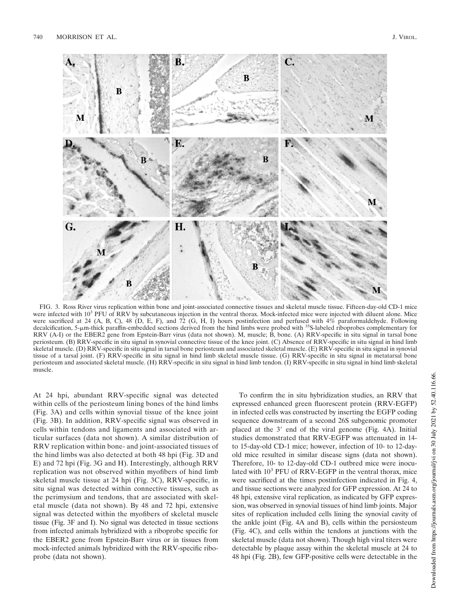

FIG. 3. Ross River virus replication within bone and joint-associated connective tissues and skeletal muscle tissue. Fifteen-day-old CD-1 mice were infected with 10<sup>3</sup> PFU of RRV by subcutaneous injection in the ventral thorax. Mock-infected mice were injected with diluent alone. Mice were sacrificed at 24 (A, B, C), 48 (D, E, F), and 72 (G, H, I) hours postinfection and perfused with  $4\%$  paraformaldehyde. Following decalcification, 5-um-thick paraffin-embedded sections derived from the hind limbs were probed with <sup>35</sup>S-labeled riboprobes complementary for RRV (A-I) or the EBER2 gene from Epstein-Barr virus (data not shown). M, muscle; B, bone. (A) RRV-specific in situ signal in tarsal bone periosteum. (B) RRV-specific in situ signal in synovial connective tissue of the knee joint. (C) Absence of RRV-specific in situ signal in hind limb skeletal muscle. (D) RRV-specific in situ signal in tarsal bone periosteum and associated skeletal muscle. (E) RRV-specific in situ signal in synovial tissue of a tarsal joint. (F) RRV-specific in situ signal in hind limb skeletal muscle tissue. (G) RRV-specific in situ signal in metatarsal bone periosteum and associated skeletal muscle. (H) RRV-specific in situ signal in hind limb tendon. (I) RRV-specific in situ signal in hind limb skeletal muscle.

At 24 hpi, abundant RRV-specific signal was detected within cells of the periosteum lining bones of the hind limbs (Fig. 3A) and cells within synovial tissue of the knee joint (Fig. 3B). In addition, RRV-specific signal was observed in cells within tendons and ligaments and associated with articular surfaces (data not shown). A similar distribution of RRV replication within bone- and joint-associated tissues of the hind limbs was also detected at both 48 hpi (Fig. 3D and E) and 72 hpi (Fig. 3G and H). Interestingly, although RRV replication was not observed within myofibers of hind limb skeletal muscle tissue at 24 hpi (Fig. 3C), RRV-specific, in situ signal was detected within connective tissues, such as the perimysium and tendons, that are associated with skeletal muscle (data not shown). By 48 and 72 hpi, extensive signal was detected within the myofibers of skeletal muscle tissue (Fig. 3F and I). No signal was detected in tissue sections from infected animals hybridized with a riboprobe specific for the EBER2 gene from Epstein-Barr virus or in tissues from mock-infected animals hybridized with the RRV-specific riboprobe (data not shown).

To confirm the in situ hybridization studies, an RRV that expressed enhanced green fluorescent protein (RRV-EGFP) in infected cells was constructed by inserting the EGFP coding sequence downstream of a second 26S subgenomic promoter placed at the  $3'$  end of the viral genome (Fig. 4A). Initial studies demonstrated that RRV-EGFP was attenuated in 14 to 15-day-old CD-1 mice; however, infection of 10- to 12-dayold mice resulted in similar disease signs (data not shown). Therefore, 10- to 12-day-old CD-1 outbred mice were inoculated with 10<sup>3</sup> PFU of RRV-EGFP in the ventral thorax, mice were sacrificed at the times postinfection indicated in Fig. 4, and tissue sections were analyzed for GFP expression. At 24 to 48 hpi, extensive viral replication, as indicated by GFP expression, was observed in synovial tissues of hind limb joints. Major sites of replication included cells lining the synovial cavity of the ankle joint (Fig. 4A and B), cells within the persiosteum (Fig. 4C), and cells within the tendons at junctions with the skeletal muscle (data not shown). Though high viral titers were detectable by plaque assay within the skeletal muscle at 24 to 48 hpi (Fig. 2B), few GFP-positive cells were detectable in the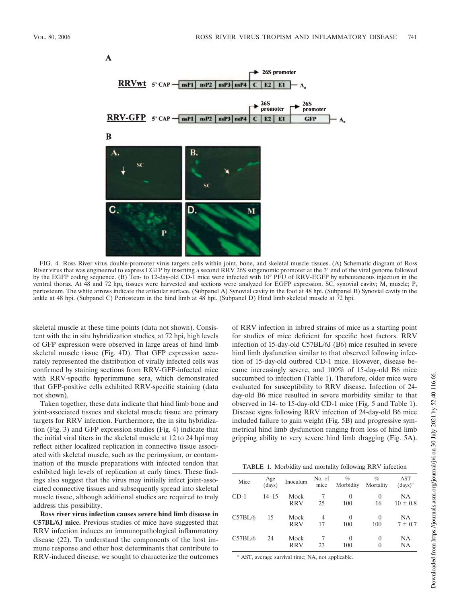

FIG. 4. Ross River virus double-promoter virus targets cells within joint, bone, and skeletal muscle tissues. (A) Schematic diagram of Ross River virus that was engineered to express EGFP by inserting a second RRV 26S subgenomic promoter at the 3' end of the viral genome followed by the EGFP coding sequence. (B) Ten- to 12-day-old CD-1 mice were infected with 10<sup>3</sup> PFU of RRV-EGFP by subcutaneous injection in the ventral thorax. At 48 and 72 hpi, tissues were harvested and sections were analyzed for EGFP expression. SC, synovial cavity; M, muscle; P, periosteum. The white arrows indicate the articular surface. (Subpanel A) Synovial cavity in the foot at 48 hpi. (Subpanel B) Synovial cavity in the ankle at 48 hpi. (Subpanel C) Periosteum in the hind limb at 48 hpi. (Subpanel D) Hind limb skeletal muscle at 72 hpi.

skeletal muscle at these time points (data not shown). Consistent with the in situ hybridization studies, at 72 hpi, high levels of GFP expression were observed in large areas of hind limb skeletal muscle tissue (Fig. 4D). That GFP expression accurately represented the distribution of virally infected cells was confirmed by staining sections from RRV-GFP-infected mice with RRV-specific hyperimmune sera, which demonstrated that GFP-positive cells exhibited RRV-specific staining (data not shown).

Taken together, these data indicate that hind limb bone and joint-associated tissues and skeletal muscle tissue are primary targets for RRV infection. Furthermore, the in situ hybridization (Fig. 3) and GFP expression studies (Fig. 4) indicate that the initial viral titers in the skeletal muscle at 12 to 24 hpi may reflect either localized replication in connective tissue associated with skeletal muscle, such as the perimysium, or contamination of the muscle preparations with infected tendon that exhibited high levels of replication at early times. These findings also suggest that the virus may initially infect joint-associated connective tissues and subsequently spread into skeletal muscle tissue, although additional studies are required to truly address this possibility.

**Ross river virus infection causes severe hind limb disease in C57BL/6J mice.** Previous studies of mice have suggested that RRV infection induces an immunopathological inflammatory disease (22). To understand the components of the host immune response and other host determinants that contribute to RRV-induced disease, we sought to characterize the outcomes of RRV infection in inbred strains of mice as a starting point for studies of mice deficient for specific host factors. RRV infection of 15-day-old C57BL/6J (B6) mice resulted in severe hind limb dysfunction similar to that observed following infection of 15-day-old outbred CD-1 mice. However, disease became increasingly severe, and 100% of 15-day-old B6 mice succumbed to infection (Table 1). Therefore, older mice were evaluated for susceptibility to RRV disease. Infection of 24 day-old B6 mice resulted in severe morbidity similar to that observed in 14- to 15-day-old CD-1 mice (Fig. 5 and Table 1). Disease signs following RRV infection of 24-day-old B6 mice included failure to gain weight (Fig. 5B) and progressive symmetrical hind limb dysfunction ranging from loss of hind limb gripping ability to very severe hind limb dragging (Fig. 5A).

TABLE 1. Morbidity and mortality following RRV infection

| Mice    | Age<br>(days) | Inoculum   | No. of<br>mice | $\%$<br>Morbidity | $\%$<br>Mortality | AST<br>$(days)^a$ |
|---------|---------------|------------|----------------|-------------------|-------------------|-------------------|
| $CD-1$  | $14 - 15$     | Mock       |                | $\theta$          | 0                 | <b>NA</b>         |
|         |               | <b>RRV</b> | 25             | 100               | 16                | $10 \pm 0.8$      |
| C57BL/6 | 15            | Mock       | 4              | 0                 | 0                 | NA.               |
|         |               | <b>RRV</b> | 17             | 100               | 100               | $7 \pm 0.7$       |
| C57BL/6 | 24            | Mock       |                | 0                 | 0                 | NA                |
|         |               | <b>RRV</b> | 23             | 100               | 0                 | NA                |

*<sup>a</sup>* AST, average survival time; NA, not applicable.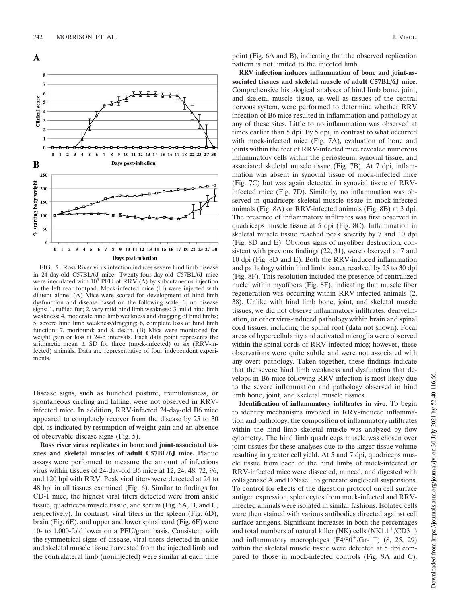

FIG. 5. Ross River virus infection induces severe hind limb disease in 24-day-old C57BL/6J mice. Twenty-four-day-old C57BL/6J mice were inoculated with  $10^3$  PFU of RRV ( $\Delta$ ) by subcutaneous injection in the left rear footpad. Mock-infected mice  $(\square)$  were injected with diluent alone. (A) Mice were scored for development of hind limb dysfunction and disease based on the following scale: 0, no disease signs; 1, ruffled fur; 2, very mild hind limb weakness; 3, mild hind limb weakness; 4, moderate hind limb weakness and dragging of hind limbs; 5, severe hind limb weakness/dragging; 6, complete loss of hind limb function; 7, moribund; and 8, death. (B) Mice were monitored for weight gain or loss at 24-h intervals. Each data point represents the arithmetic mean  $\pm$  SD for three (mock-infected) or six (RRV-infected) animals. Data are representative of four independent experiments.

Disease signs, such as hunched posture, tremulousness, or spontaneous circling and falling, were not observed in RRVinfected mice. In addition, RRV-infected 24-day-old B6 mice appeared to completely recover from the disease by 25 to 30 dpi, as indicated by resumption of weight gain and an absence of observable disease signs (Fig. 5).

**Ross river virus replicates in bone and joint-associated tissues and skeletal muscles of adult C57BL/6J mice.** Plaque assays were performed to measure the amount of infectious virus within tissues of 24-day-old B6 mice at 12, 24, 48, 72, 96, and 120 hpi with RRV. Peak viral titers were detected at 24 to 48 hpi in all tissues examined (Fig. 6). Similar to findings for CD-1 mice, the highest viral titers detected were from ankle tissue, quadriceps muscle tissue, and serum (Fig. 6A, B, and C, respectively). In contrast, viral titers in the spleen (Fig. 6D), brain (Fig. 6E), and upper and lower spinal cord (Fig. 6F) were 10- to 1,000-fold lower on a PFU/gram basis. Consistent with the symmetrical signs of disease, viral titers detected in ankle and skeletal muscle tissue harvested from the injected limb and the contralateral limb (noninjected) were similar at each time

point (Fig. 6A and B), indicating that the observed replication pattern is not limited to the injected limb.

**RRV infection induces inflammation of bone and joint-associated tissues and skeletal muscle of adult C57BL/6J mice.** Comprehensive histological analyses of hind limb bone, joint, and skeletal muscle tissue, as well as tissues of the central nervous system, were performed to determine whether RRV infection of B6 mice resulted in inflammation and pathology at any of these sites. Little to no inflammation was observed at times earlier than 5 dpi. By 5 dpi, in contrast to what occurred with mock-infected mice (Fig. 7A), evaluation of bone and joints within the feet of RRV-infected mice revealed numerous inflammatory cells within the periosteum, synovial tissue, and associated skeletal muscle tissue (Fig. 7B). At 7 dpi, inflammation was absent in synovial tissue of mock-infected mice (Fig. 7C) but was again detected in synovial tissue of RRVinfected mice (Fig. 7D). Similarly, no inflammation was observed in quadriceps skeletal muscle tissue in mock-infected animals (Fig. 8A) or RRV-infected animals (Fig. 8B) at 3 dpi. The presence of inflammatory infiltrates was first observed in quadriceps muscle tissue at 5 dpi (Fig. 8C). Inflammation in skeletal muscle tissue reached peak severity by 7 and 10 dpi (Fig. 8D and E). Obvious signs of myofiber destruction, consistent with previous findings (22, 31), were observed at 7 and 10 dpi (Fig. 8D and E). Both the RRV-induced inflammation and pathology within hind limb tissues resolved by 25 to 30 dpi (Fig. 8F). This resolution included the presence of centralized nuclei within myofibers (Fig. 8F), indicating that muscle fiber regeneration was occurring within RRV-infected animals (2, 38). Unlike with hind limb bone, joint, and skeletal muscle tissues, we did not observe inflammatory infiltrates, demyelination, or other virus-induced pathology within brain and spinal cord tissues, including the spinal root (data not shown). Focal areas of hypercellularity and activated microglia were observed within the spinal cords of RRV-infected mice; however, these observations were quite subtle and were not associated with any overt pathology. Taken together, these findings indicate that the severe hind limb weakness and dysfunction that develops in B6 mice following RRV infection is most likely due to the severe inflammation and pathology observed in hind limb bone, joint, and skeletal muscle tissues.

**Identification of inflammatory infiltrates in vivo.** To begin to identify mechanisms involved in RRV-induced inflammation and pathology, the composition of inflammatory infiltrates within the hind limb skeletal muscle was analyzed by flow cytometry. The hind limb quadriceps muscle was chosen over joint tissues for these analyses due to the larger tissue volume resulting in greater cell yield. At 5 and 7 dpi, quadriceps muscle tissue from each of the hind limbs of mock-infected or RRV-infected mice were dissected, minced, and digested with collagenase A and DNase I to generate single-cell suspensions. To control for effects of the digestion protocol on cell surface antigen expression, splenocytes from mock-infected and RRVinfected animals were isolated in similar fashions. Isolated cells were then stained with various antibodies directed against cell surface antigens. Significant increases in both the percentages and total numbers of natural killer (NK) cells  $(NK1.1^+/CD3^-)$ and inflammatory macrophages  $(F4/80<sup>+</sup>/Gr-1<sup>+</sup>)$   $(8, 25, 29)$ within the skeletal muscle tissue were detected at 5 dpi compared to those in mock-infected controls (Fig. 9A and C).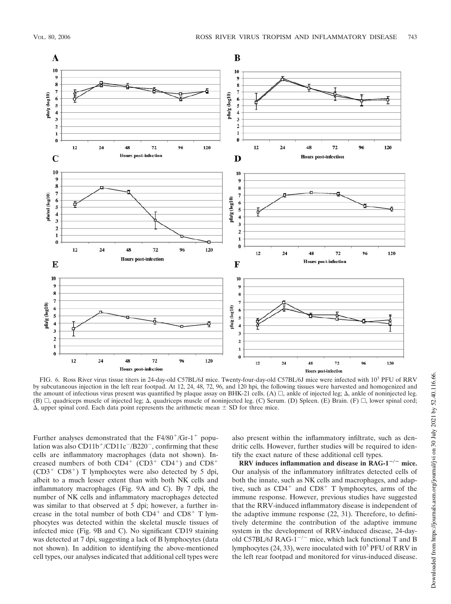

FIG. 6. Ross River virus tissue titers in 24-day-old C57BL/6J mice. Twenty-four-day-old C57BL/6J mice were infected with 10<sup>3</sup> PFU of RRV by subcutaneous injection in the left rear footpad. At 12, 24, 48, 72, 96, and 120 hpi, the following tissues were harvested and homogenized and the amount of infectious virus present was quantified by plaque assay on BHK-21 cells. (A)  $\Box$ , ankle of injected leg.  $\Delta$ , ankle of noninjected leg. (B)  $\Box$ , quadriceps muscle of injected leg;  $\Delta$ , quadriceps muscle of noninjected leg. (C) Serum. (D) Spleen. (E) Brain. (F)  $\Box$ , lower spinal cord;  $\Delta$ , upper spinal cord. Each data point represents the arithmetic mean  $\pm$  SD for three mice.

Further analyses demonstrated that the  $F4/80^+/Gr-1^+$  population was also CD11b<sup>+</sup>/CD11c<sup>-</sup>/B220<sup>-</sup>, confirming that these cells are inflammatory macrophages (data not shown). Increased numbers of both  $CD4^+$  (CD3<sup>+</sup> CD4<sup>+</sup>) and CD8<sup>+</sup>  $(CD3^+ \text{ } CD8^+)$  T lymphocytes were also detected by 5 dpi, albeit to a much lesser extent than with both NK cells and inflammatory macrophages (Fig. 9A and C). By 7 dpi, the number of NK cells and inflammatory macrophages detected was similar to that observed at 5 dpi; however, a further increase in the total number of both  $CD4^+$  and  $CD8^+$  T lymphocytes was detected within the skeletal muscle tissues of infected mice (Fig. 9B and C). No significant CD19 staining was detected at 7 dpi, suggesting a lack of B lymphocytes (data not shown). In addition to identifying the above-mentioned cell types, our analyses indicated that additional cell types were

also present within the inflammatory infiltrate, such as dendritic cells. However, further studies will be required to identify the exact nature of these additional cell types.

 $\overline{R}$ **RRV** induces inflammation and disease in  $\overline{R}$ **AG-1<sup>-/-</sup>** mice. Our analysis of the inflammatory infiltrates detected cells of both the innate, such as NK cells and macrophages, and adaptive, such as  $CD4^+$  and  $CD8^+$  T lymphocytes, arms of the immune response. However, previous studies have suggested that the RRV-induced inflammatory disease is independent of the adaptive immune response (22, 31). Therefore, to definitively determine the contribution of the adaptive immune system in the development of RRV-induced disease, 24-dayold C57BL/6J RAG-1<sup> $-/-$ </sup> mice, which lack functional T and B lymphocytes  $(24, 33)$ , were inoculated with  $10<sup>3</sup>$  PFU of RRV in the left rear footpad and monitored for virus-induced disease.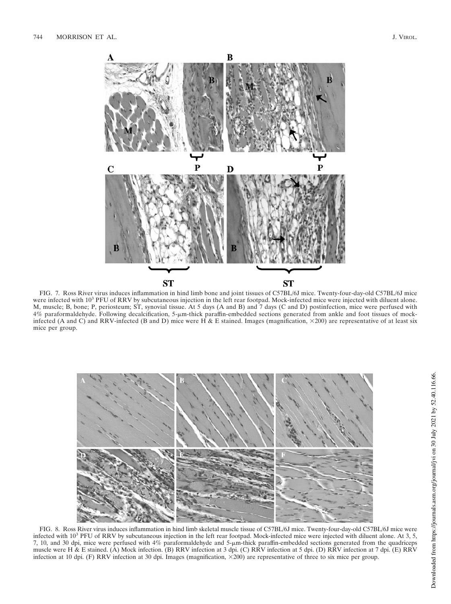

FIG. 7. Ross River virus induces inflammation in hind limb bone and joint tissues of C57BL/6J mice. Twenty-four-day-old C57BL/6J mice were infected with 10<sup>3</sup> PFU of RRV by subcutaneous injection in the left rear footpad. Mock-infected mice were injected with diluent alone. M, muscle; B, bone; P, periosteum; ST, synovial tissue. At 5 days (A and B) and 7 days (C and D) postinfection, mice were perfused with  $4\%$  paraformaldehyde. Following decalcification,  $5-\mu m$ -thick paraffin-embedded sections generated from ankle and foot tissues of mockinfected (A and C) and RRV-infected (B and D) mice were H & E stained. Images (magnification,  $\times$ 200) are representative of at least six mice per group.



FIG. 8. Ross River virus induces inflammation in hind limb skeletal muscle tissue of C57BL/6J mice. Twenty-four-day-old C57BL/6J mice were infected with  $10<sup>3</sup>$  PFU of RRV by subcutaneous injection in the left rear footpad. Mock-infected mice were injected with diluent alone. At 3, 5, 7, 10, and 30 dpi, mice were perfused with 4% paraformaldehyde and 5-um-thick paraffin-embedded sections generated from the quadriceps muscle wereH&E stained. (A) Mock infection. (B) RRV infection at 3 dpi. (C) RRV infection at 5 dpi. (D) RRV infection at 7 dpi. (E) RRV infection at 10 dpi. (F) RRV infection at 30 dpi. Images (magnification, 200) are representative of three to six mice per group.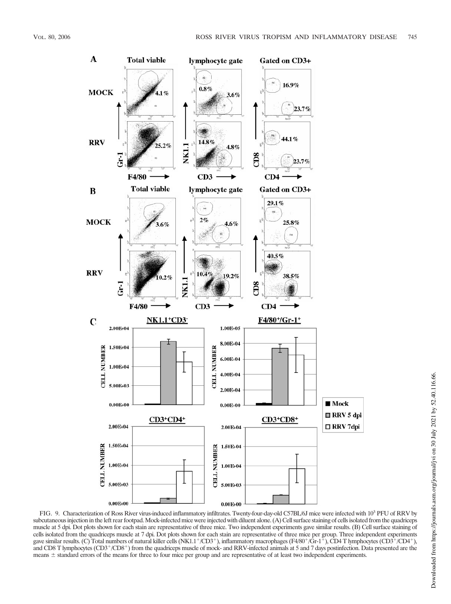

FIG. 9. Characterization of Ross River virus-induced inflammatory infiltrates. Twenty-four-day-old C57BL/6J mice were infected with 10<sup>3</sup> PFU of RRV by subcutaneous injection in the left rear footpad.Mock-infected mice were injected with diluent alone. (A) Cell surface staining of cells isolated from the quadriceps muscle at 5 dpi. Dot plots shown for each stain are representative of three mice. Two independent experiments gave similar results. (B) Cell surface staining of cells isolated from the quadriceps muscle at 7 dpi. Dot plots shown for each stain are representative of three mice per group. Three independent experiments gave similar results. (C) Total numbers of natural killer cells (NK1.1+/CD3+), inflammatory macrophages (F4/80+/Gr-1+), CD4 T lymphocytes (CD3+/CD4+), and CD8 T lymphocytes (CD3<sup>+</sup>/CD8<sup>+</sup>) from the quadriceps muscle of mock- and RRV-infected animals at 5 and 7 days postinfection. Data presented are the means  $\pm$  standard errors of the means for three to four mice per group and are representative of at least two independent experiments.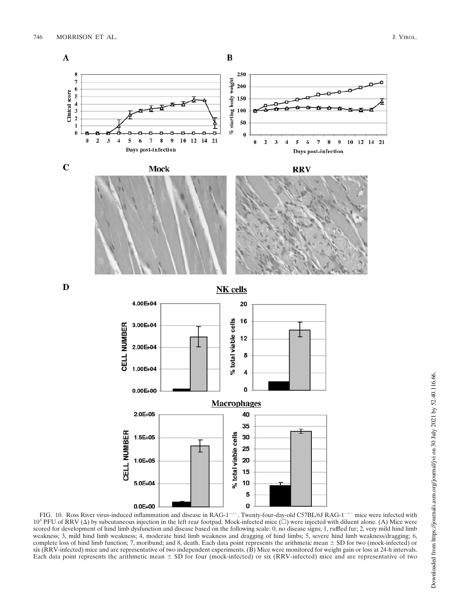

FIG. 10. Ross River virus-induced inflammation and disease in  $RAG-1^{-/-}$ . Twenty-four-day-old C57BL/6J RAG-1<sup>-/-</sup> mice were infected with  $10^3$  PFU of RRV ( $\Delta$ ) by subcutaneous injection in the left rear footpad. Mock-infected mice ( $\Box$ ) were injected with diluent alone. (A) Mice were scored for development of hind limb dysfunction and disease based on the following scale: 0, no disease signs; 1, ruffled fur; 2, very mild hind limb weakness; 3, mild hind limb weakness; 4, moderate hind limb weakness and dragging of hind limbs; 5, severe hind limb weakness/dragging; 6, complete loss of hind limb function; 7, moribund; and 8, death. Each data point represents the arithmetic mean  $\pm$  SD for two (mock-infected) or six (RRV-infected) mice and are representative of two independent experiments. (B) Mice were monitored for weight gain or loss at 24-h intervals. Each data point represents the arithmetic mean  $\pm$  SD for four (mock-infected) or six (RRV-infected) mice and are representative of two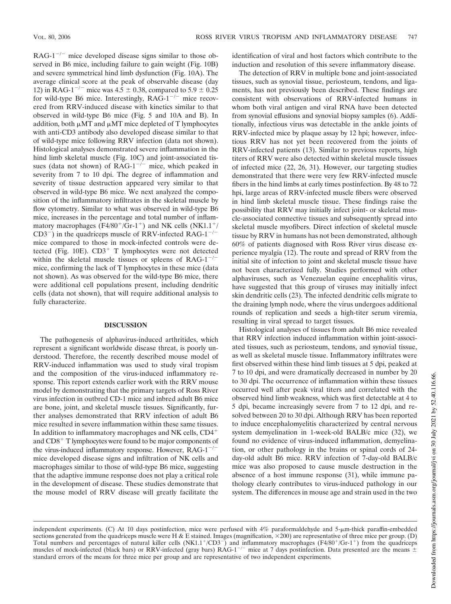$RAG-1^{-/-}$  mice developed disease signs similar to those observed in B6 mice, including failure to gain weight (Fig. 10B) and severe symmetrical hind limb dysfunction (Fig. 10A). The average clinical score at the peak of observable disease (day 12) in RAG-1<sup>-/-</sup> mice was  $4.\overline{5} \pm 0.38$ , compared to  $5.9 \pm 0.25$ for wild-type B6 mice. Interestingly,  $RAG-1^{-/-}$  mice recovered from RRV-induced disease with kinetics similar to that observed in wild-type B6 mice (Fig. 5 and 10A and B). In addition, both  $\mu$ MT and  $\mu$ MT mice depleted of T lymphocytes with anti-CD3 antibody also developed disease similar to that of wild-type mice following RRV infection (data not shown). Histological analyses demonstrated severe inflammation in the hind limb skeletal muscle (Fig. 10C) and joint-associated tissues (data not shown) of  $RAG-1^{-/-}$  mice, which peaked in severity from 7 to 10 dpi. The degree of inflammation and severity of tissue destruction appeared very similar to that observed in wild-type B6 mice. We next analyzed the composition of the inflammatory infiltrates in the skeletal muscle by flow cytometry. Similar to what was observed in wild-type B6 mice, increases in the percentage and total number of inflammatory macrophages  $(F4/80^+/Gr-1^+)$  and NK cells  $(NK1.1^+/$  $CD3^{-}$ ) in the quadriceps muscle of RRV-infected RAG-1<sup>-/-</sup> mice compared to those in mock-infected controls were detected (Fig.  $10E$ ).  $CD3<sup>+</sup>$  T lymphocytes were not detected within the skeletal muscle tissues or spleens of  $RAG-1^{-/-}$ mice, confirming the lack of T lymphocytes in these mice (data not shown). As was observed for the wild-type B6 mice, there were additional cell populations present, including dendritic cells (data not shown), that will require additional analysis to fully characterize.

## **DISCUSSION**

The pathogenesis of alphavirus-induced arthritides, which represent a significant worldwide disease threat, is poorly understood. Therefore, the recently described mouse model of RRV-induced inflammation was used to study viral tropism and the composition of the virus-induced inflammatory response. This report extends earlier work with the RRV mouse model by demonstrating that the primary targets of Ross River virus infection in outbred CD-1 mice and inbred adult B6 mice are bone, joint, and skeletal muscle tissues. Significantly, further analyses demonstrated that RRV infection of adult B6 mice resulted in severe inflammation within these same tissues. In addition to inflammatory macrophages and NK cells, CD4 and  $CD8<sup>+</sup>$  T lymphocytes were found to be major components of the virus-induced inflammatory response. However,  $\text{RAG-1}^{-/-}$ mice developed disease signs and infiltration of NK cells and macrophages similar to those of wild-type B6 mice, suggesting that the adaptive immune response does not play a critical role in the development of disease. These studies demonstrate that the mouse model of RRV disease will greatly facilitate the

identification of viral and host factors which contribute to the induction and resolution of this severe inflammatory disease.

The detection of RRV in multiple bone and joint-associated tissues, such as synovial tissue, periosteum, tendons, and ligaments, has not previously been described. These findings are consistent with observations of RRV-infected humans in whom both viral antigen and viral RNA have been detected from synovial effusions and synovial biopsy samples (6). Additionally, infectious virus was detectable in the ankle joints of RRV-infected mice by plaque assay by 12 hpi; however, infectious RRV has not yet been recovered from the joints of RRV-infected patients (13). Similar to previous reports, high titers of RRV were also detected within skeletal muscle tissues of infected mice (22, 26, 31). However, our targeting studies demonstrated that there were very few RRV-infected muscle fibers in the hind limbs at early times postinfection. By 48 to 72 hpi, large areas of RRV-infected muscle fibers were observed in hind limb skeletal muscle tissue. These findings raise the possibility that RRV may initially infect joint- or skeletal muscle-associated connective tissues and subsequently spread into skeletal muscle myofibers. Direct infection of skeletal muscle tissue by RRV in humans has not been demonstrated, although 60% of patients diagnosed with Ross River virus disease experience myalgia (12). The route and spread of RRV from the initial site of infection to joint and skeletal muscle tissue have not been characterized fully. Studies performed with other alphaviruses, such as Venezuelan equine encephalitis virus, have suggested that this group of viruses may initially infect skin dendritic cells (23). The infected dendritic cells migrate to the draining lymph node, where the virus undergoes additional rounds of replication and seeds a high-titer serum viremia, resulting in viral spread to target tissues.

Histological analyses of tissues from adult B6 mice revealed that RRV infection induced inflammation within joint-associated tissues, such as periosteum, tendons, and synovial tissue, as well as skeletal muscle tissue. Inflammatory infiltrates were first observed within these hind limb tissues at 5 dpi, peaked at 7 to 10 dpi, and were dramatically decreased in number by 20 to 30 dpi. The occurrence of inflammation within these tissues occurred well after peak viral titers and correlated with the observed hind limb weakness, which was first detectable at 4 to 5 dpi, became increasingly severe from 7 to 12 dpi, and resolved between 20 to 30 dpi. Although RRV has been reported to induce encephalomyelitis characterized by central nervous system demyelination in 1-week-old BALB/c mice (32), we found no evidence of virus-induced inflammation, demyelination, or other pathology in the brains or spinal cords of 24 day-old adult B6 mice. RRV infection of 7-day-old BALB/c mice was also proposed to cause muscle destruction in the absence of a host immune response (31), while immune pathology clearly contributes to virus-induced pathology in our system. The differences in mouse age and strain used in the two

Downloaded from https://journals.asm.org/journal/jvi on 30 July 2021 by 52.40.116.66. Downloaded from https://journals.asm.org/journal/jvi on 30 July 2021 by 52.40.116.66.

independent experiments. (C) At 10 days postinfection, mice were perfused with 4% paraformaldehyde and 5-µm-thick paraffin-embedded sections generated from the quadriceps muscle were H & E stained. Images (magnification,  $\times$ 200) are representative of three mice per group. (D) Total numbers and percentages of natural killer cells (NK1.1+/CD3-) and inflammatory macrophages (F4/80+/Gr-1+) from the quadriceps muscles of mock-infected (black bars) or RRV-infected (gray bars) RAG-1<sup>-/-</sup> mice at 7 days postinfection. Data presented are the means  $\pm$ standard errors of the means for three mice per group and are representative of two independent experiments.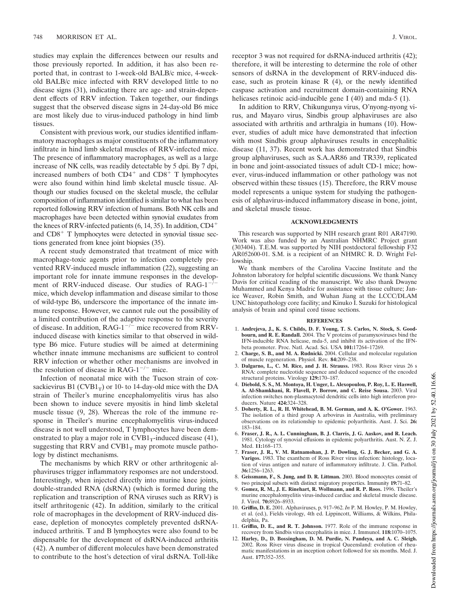studies may explain the differences between our results and those previously reported. In addition, it has also been reported that, in contrast to 1-week-old BALB/c mice, 4-weekold BALB/c mice infected with RRV developed little to no disease signs (31), indicating there are age- and strain-dependent effects of RRV infection. Taken together, our findings suggest that the observed disease signs in 24-day-old B6 mice are most likely due to virus-induced pathology in hind limb tissues.

Consistent with previous work, our studies identified inflammatory macrophages as major constituents of the inflammatory infiltrate in hind limb skeletal muscles of RRV-infected mice. The presence of inflammatory macrophages, as well as a large increase of NK cells, was readily detectable by 5 dpi. By 7 dpi, increased numbers of both  $CD4^+$  and  $CD8^+$  T lymphocytes were also found within hind limb skeletal muscle tissue. Although our studies focused on the skeletal muscle, the cellular composition of inflammation identified is similar to what has been reported following RRV infection of humans. Both NK cells and macrophages have been detected within synovial exudates from the knees of RRV-infected patients (6, 14, 35). In addition, CD4 and  $CD8<sup>+</sup>$  T lymphocytes were detected in synovial tissue sections generated from knee joint biopsies (35).

A recent study demonstrated that treatment of mice with macrophage-toxic agents prior to infection completely prevented RRV-induced muscle inflammation (22), suggesting an important role for innate immune responses in the development of RRV-induced disease. Our studies of RAG- $1^{-7}$ mice, which develop inflammation and disease similar to those of wild-type B6, underscore the importance of the innate immune response. However, we cannot rule out the possibility of a limited contribution of the adaptive response to the severity of disease. In addition,  $RAG-1^{-/-}$  mice recovered from RRVinduced disease with kinetics similar to that observed in wildtype B6 mice. Future studies will be aimed at determining whether innate immune mechanisms are sufficient to control RRV infection or whether other mechanisms are involved in the resolution of disease in RAG-1<sup> $-/-$ </sup> mice.

Infection of neonatal mice with the Tucson strain of coxsackievirus  $B1$  (CVB1<sub>T</sub>) or 10- to 14-day-old mice with the DA strain of Theiler's murine encephalomyelitis virus has also been shown to induce severe myositis in hind limb skeletal muscle tissue (9, 28). Whereas the role of the immune response in Theiler's murine encephalomyelitis virus-induced disease is not well understood, T lymphocytes have been demonstrated to play a major role in  $CVB1_T$ -induced disease (41), suggesting that RRV and  $CVB1_T$  may promote muscle pathology by distinct mechanisms.

The mechanisms by which RRV or other arthritogenic alphaviruses trigger inflammatory responses are not understood. Interestingly, when injected directly into murine knee joints, double-stranded RNA (dsRNA) (which is formed during the replication and transcription of RNA viruses such as RRV) is itself arthritogenic (42). In addition, similarly to the critical role of macrophages in the development of RRV-induced disease, depletion of monocytes completely prevented dsRNAinduced arthritis. T and B lymphocytes were also found to be dispensable for the development of dsRNA-induced arthritis (42). A number of different molecules have been demonstrated to contribute to the host's detection of viral dsRNA. Toll-like

receptor 3 was not required for dsRNA-induced arthritis (42); therefore, it will be interesting to determine the role of other sensors of dsRNA in the development of RRV-induced disease, such as protein kinase R (4), or the newly identified caspase activation and recruitment domain-containing RNA helicases retinoic acid-inducible gene I (40) and mda-5 (1).

In addition to RRV, Chikungunya virus, O'nyong-nyong virus, and Mayaro virus, Sindbis group alphaviruses are also associated with arthritis and arthralgia in humans (10). However, studies of adult mice have demonstrated that infection with most Sindbis group alphaviruses results in encephalitic disease (11, 37). Recent work has demonstrated that Sindbis group alphaviruses, such as S.A.AR86 and TR339, replicated in bone and joint-associated tissues of adult CD-1 mice; however, virus-induced inflammation or other pathology was not observed within these tissues (15). Therefore, the RRV mouse model represents a unique system for studying the pathogenesis of alphavirus-induced inflammatory disease in bone, joint, and skeletal muscle tissue.

### **ACKNOWLEDGMENTS**

This research was supported by NIH research grant R01 AR47190. Work was also funded by an Australian NHMRC Project grant (303404). T.E.M. was supported by NIH postdoctoral fellowship F32 AR052600-01. S.M. is a recipient of an NHMRC R. D. Wright Fellowship.

We thank members of the Carolina Vaccine Institute and the Johnston laboratory for helpful scientific discussions. We thank Nancy Davis for critical reading of the manuscript. We also thank Dwayne Muhammed and Kenya Madric for assistance with tissue culture; Janice Weaver, Robin Smith, and Wuhan Jiang at the LCCC/DLAM UNC histopathology core facility; and Kinuko I. Suzuki for histological analysis of brain and spinal cord tissue sections.

#### **REFERENCES**

- 1. **Andrejeva, J., K. S. Childs, D. F. Young, T. S. Carlos, N. Stock, S. Goodbourn, and R. E. Randall.** 2004. The V proteins of paramyxoviruses bind the IFN-inducible RNA helicase, mda-5, and inhibit its activation of the IFNbeta promoter. Proc. Natl. Acad. Sci. USA **101:**17264–17269.
- 2. **Charge, S. B., and M. A. Rudnicki.** 2004. Cellular and molecular regulation of muscle regeneration. Physiol. Rev. **84:**209–238.
- 3. **Dalgarno, L., C. M. Rice, and J. H. Strauss.** 1983. Ross River virus 26 s RNA: complete nucleotide sequence and deduced sequence of the encoded structural proteins. Virology **129:**170–187.
- 4. **Diebold, S. S., M. Montoya, H. Unger, L. Alexopoulou, P. Roy, L. E. Haswell, A. Al-Shamkhani, R. Flavell, P. Borrow, and C. Reise Sousa.** 2003. Viral infection switches non-plasmacytoid dendritic cells into high interferon producers. Nature **424:**324–328.
- 5. **Doherty, R. L., R. H. Whitehead, B. M. Gorman, and A. K. O'Gower.** 1963. The isolation of a third group A arbovirus in Australia, with preliminary observations on its relationship to epidemic polyarthritis. Aust. J. Sci. **26:** 183–184.
- 6. **Fraser, J. R., A. L. Cunningham, B. J. Clarris, J. G. Aaskov, and R. Leach.** 1981. Cytology of synovial effusions in epidemic polyarthritis. Aust. N. Z. J. Med. **11:**168–173.
- 7. **Fraser, J. R., V. M. Ratnamohan, J. P. Dowling, G. J. Becker, and G. A. Varigos.** 1983. The exanthem of Ross River virus infection: histology, location of virus antigen and nature of inflammatory infiltrate. J. Clin. Pathol. **36:**1256–1263.
- 8. **Geissmann, F., S. Jung, and D. R. Littman.** 2003. Blood monocytes consist of two principal subsets with distinct migratory properties. Immunity **19:**71–82.
- 9. **Gomez, R. M., J. E. Rinehart, R. Wollmann, and R. P. Roos.** 1996. Theiler's murine encephalomyelitis virus-induced cardiac and skeletal muscle disease. J. Virol. **70:**8926–8933.
- 10. **Griffin, D. E.** 2001. Alphaviruses, p. 917–962. *In* P. M. Howley, P. M. Howley, et al. (ed.), Fields virology, 4th ed. Lippincott, Williams, & Wilkins, Philadelphia, Pa.
- 11. **Griffin, D. E., and R. T. Johnson.** 1977. Role of the immune response in recovery from Sindbis virus encephalitis in mice. J. Immunol. **118:**1070–1075.
- 12. **Harley, D., D. Bossingham, D. M. Purdie, N. Pandeya, and A. C. Sleigh.** 2002. Ross River virus disease in tropical Queensland: evolution of rheumatic manifestations in an inception cohort followed for six months. Med. J. Aust. **177:**352–355.